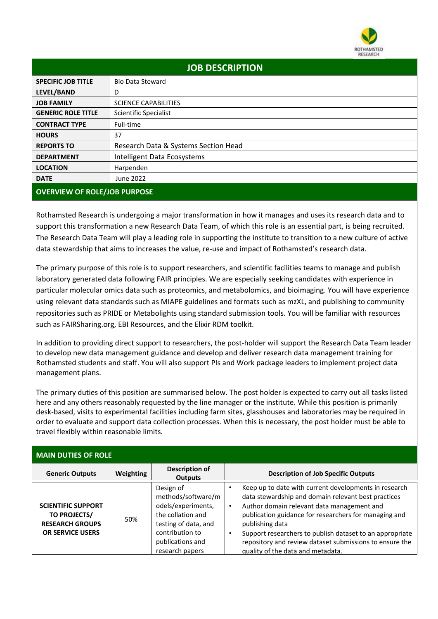

| <b>JOB DESCRIPTION</b>    |                                      |  |  |
|---------------------------|--------------------------------------|--|--|
| <b>SPECIFIC JOB TITLE</b> | <b>Bio Data Steward</b>              |  |  |
| LEVEL/BAND                | D                                    |  |  |
| <b>JOB FAMILY</b>         | <b>SCIENCE CAPABILITIES</b>          |  |  |
| <b>GENERIC ROLE TITLE</b> | Scientific Specialist                |  |  |
| <b>CONTRACT TYPE</b>      | Full-time                            |  |  |
| <b>HOURS</b>              | 37                                   |  |  |
| <b>REPORTS TO</b>         | Research Data & Systems Section Head |  |  |
| <b>DEPARTMENT</b>         | Intelligent Data Ecosystems          |  |  |
| <b>LOCATION</b>           | Harpenden                            |  |  |
| <b>DATE</b>               | June 2022                            |  |  |

## **OVERVIEW OF ROLE/JOB PURPOSE**

Rothamsted Research is undergoing a major transformation in how it manages and uses its research data and to support this transformation a new Research Data Team, of which this role is an essential part, is being recruited. The Research Data Team will play a leading role in supporting the institute to transition to a new culture of active data stewardship that aims to increases the value, re-use and impact of Rothamsted's research data.

The primary purpose of this role is to support researchers, and scientific facilities teams to manage and publish laboratory generated data following FAIR principles. We are especially seeking candidates with experience in particular molecular omics data such as proteomics, and metabolomics, and bioimaging. You will have experience using relevant data standards such as MIAPE guidelines and formats such as mzXL, and publishing to community repositories such as PRIDE or Metabolights using standard submission tools. You will be familiar with resources such as FAIRSharing.org, EBI Resources, and the Elixir RDM toolkit.

In addition to providing direct support to researchers, the post-holder will support the Research Data Team leader to develop new data management guidance and develop and deliver research data management training for Rothamsted students and staff. You will also support PIs and Work package leaders to implement project data management plans.

The primary duties of this position are summarised below. The post holder is expected to carry out all tasks listed here and any others reasonably requested by the line manager or the institute. While this position is primarily desk-based, visits to experimental facilities including farm sites, glasshouses and laboratories may be required in order to evaluate and support data collection processes. When this is necessary, the post holder must be able to travel flexibly within reasonable limits.

| <b>MAIN DUTIES OF ROLE</b>                                                                     |                  |                                                                                                                                                              |                                                                                                                                                                                                                                                                                                                                                                                                                 |  |
|------------------------------------------------------------------------------------------------|------------------|--------------------------------------------------------------------------------------------------------------------------------------------------------------|-----------------------------------------------------------------------------------------------------------------------------------------------------------------------------------------------------------------------------------------------------------------------------------------------------------------------------------------------------------------------------------------------------------------|--|
| <b>Generic Outputs</b>                                                                         | <b>Weighting</b> | Description of<br><b>Outputs</b>                                                                                                                             | <b>Description of Job Specific Outputs</b>                                                                                                                                                                                                                                                                                                                                                                      |  |
| <b>SCIENTIFIC SUPPORT</b><br>TO PROJECTS/<br><b>RESEARCH GROUPS</b><br><b>OR SERVICE USERS</b> | 50%              | Design of<br>methods/software/m<br>odels/experiments,<br>the collation and<br>testing of data, and<br>contribution to<br>publications and<br>research papers | Keep up to date with current developments in research<br>data stewardship and domain relevant best practices<br>Author domain relevant data management and<br>$\bullet$<br>publication guidance for researchers for managing and<br>publishing data<br>Support researchers to publish dataset to an appropriate<br>repository and review dataset submissions to ensure the<br>quality of the data and metadata. |  |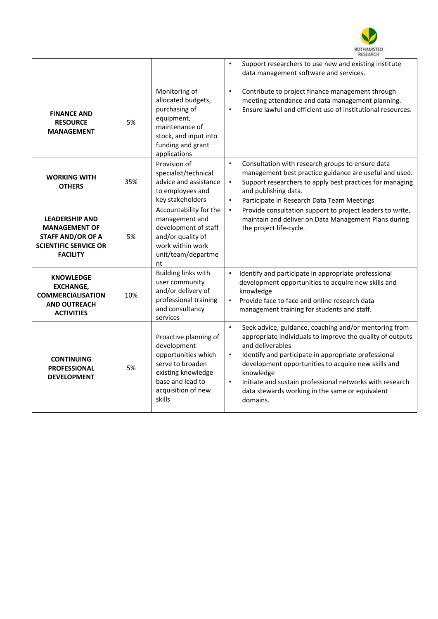

|                                                                                                                              |     |                                                                                                                                                           | $\bullet$<br>Support researchers to use new and existing institute<br>data management software and services.                                                                                                                                                                                                                                                                                                                         |
|------------------------------------------------------------------------------------------------------------------------------|-----|-----------------------------------------------------------------------------------------------------------------------------------------------------------|--------------------------------------------------------------------------------------------------------------------------------------------------------------------------------------------------------------------------------------------------------------------------------------------------------------------------------------------------------------------------------------------------------------------------------------|
| <b>FINANCE AND</b><br><b>RESOURCE</b><br><b>MANAGEMENT</b>                                                                   | 5%  | Monitoring of<br>allocated budgets,<br>purchasing of<br>equipment,<br>maintenance of<br>stock, and input into<br>funding and grant<br>applications        | $\bullet$<br>Contribute to project finance management through<br>meeting attendance and data management planning.<br>Ensure lawful and efficient use of institutional resources.<br>$\bullet$                                                                                                                                                                                                                                        |
| <b>WORKING WITH</b><br><b>OTHERS</b>                                                                                         | 35% | Provision of<br>specialist/technical<br>advice and assistance<br>to employees and<br>key stakeholders                                                     | $\bullet$<br>Consultation with research groups to ensure data<br>management best practice guidance are useful and used.<br>$\bullet$<br>Support researchers to apply best practices for managing<br>and publishing data.<br>Participate in Research Data Team Meetings<br>$\bullet$                                                                                                                                                  |
| <b>LEADERSHIP AND</b><br><b>MANAGEMENT OF</b><br><b>STAFF AND/OR OF A</b><br><b>SCIENTIFIC SERVICE OR</b><br><b>FACILITY</b> | 5%  | Accountability for the<br>management and<br>development of staff<br>and/or quality of<br>work within work<br>unit/team/departme<br>nt                     | $\bullet$<br>Provide consultation support to project leaders to write,<br>maintain and deliver on Data Management Plans during<br>the project life-cycle.                                                                                                                                                                                                                                                                            |
| <b>KNOWLEDGE</b><br><b>EXCHANGE,</b><br><b>COMMERCIALISATION</b><br><b>AND OUTREACH</b><br><b>ACTIVITIES</b>                 | 10% | <b>Building links with</b><br>user community<br>and/or delivery of<br>professional training<br>and consultancy<br>services                                | Identify and participate in appropriate professional<br>$\bullet$<br>development opportunities to acquire new skills and<br>knowledge<br>$\bullet$<br>Provide face to face and online research data<br>management training for students and staff.                                                                                                                                                                                   |
| <b>CONTINUING</b><br><b>PROFESSIONAL</b><br><b>DEVELOPMENT</b>                                                               | 5%  | Proactive planning of<br>development<br>opportunities which<br>serve to broaden<br>existing knowledge<br>base and lead to<br>acquisition of new<br>skills | Seek advice, guidance, coaching and/or mentoring from<br>$\bullet$<br>appropriate individuals to improve the quality of outputs<br>and deliverables<br>$\bullet$<br>Identify and participate in appropriate professional<br>development opportunities to acquire new skills and<br>knowledge<br>$\bullet$<br>Initiate and sustain professional networks with research<br>data stewards working in the same or equivalent<br>domains. |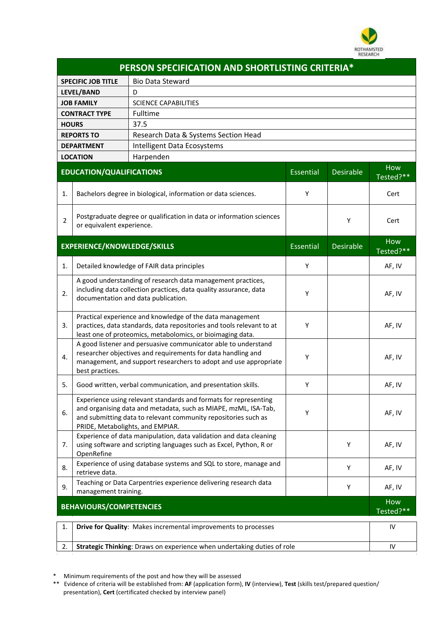

| PERSON SPECIFICATION AND SHORTLISTING CRITERIA* |                                                                                                                                                                                                                                           |                                                                   |                  |                  |                  |
|-------------------------------------------------|-------------------------------------------------------------------------------------------------------------------------------------------------------------------------------------------------------------------------------------------|-------------------------------------------------------------------|------------------|------------------|------------------|
|                                                 | <b>Bio Data Steward</b><br><b>SPECIFIC JOB TITLE</b>                                                                                                                                                                                      |                                                                   |                  |                  |                  |
|                                                 | LEVEL/BAND                                                                                                                                                                                                                                | D                                                                 |                  |                  |                  |
|                                                 | <b>JOB FAMILY</b><br><b>SCIENCE CAPABILITIES</b>                                                                                                                                                                                          |                                                                   |                  |                  |                  |
|                                                 | Fulltime<br><b>CONTRACT TYPE</b>                                                                                                                                                                                                          |                                                                   |                  |                  |                  |
|                                                 | 37.5<br><b>HOURS</b>                                                                                                                                                                                                                      |                                                                   |                  |                  |                  |
|                                                 | Research Data & Systems Section Head<br><b>REPORTS TO</b>                                                                                                                                                                                 |                                                                   |                  |                  |                  |
|                                                 | Intelligent Data Ecosystems<br><b>DEPARTMENT</b>                                                                                                                                                                                          |                                                                   |                  |                  |                  |
|                                                 | <b>LOCATION</b>                                                                                                                                                                                                                           | Harpenden                                                         |                  |                  |                  |
|                                                 | <b>EDUCATION/QUALIFICATIONS</b>                                                                                                                                                                                                           |                                                                   | Essential        | <b>Desirable</b> | How<br>Tested?** |
| 1.                                              | Bachelors degree in biological, information or data sciences.                                                                                                                                                                             |                                                                   | Υ                |                  | Cert             |
| $\overline{2}$                                  | Postgraduate degree or qualification in data or information sciences<br>or equivalent experience.                                                                                                                                         |                                                                   |                  | Υ                | Cert             |
| <b>EXPERIENCE/KNOWLEDGE/SKILLS</b>              |                                                                                                                                                                                                                                           | Essential                                                         | <b>Desirable</b> | How<br>Tested?** |                  |
| 1.                                              | Detailed knowledge of FAIR data principles                                                                                                                                                                                                |                                                                   |                  |                  | AF, IV           |
| 2.                                              | A good understanding of research data management practices,<br>including data collection practices, data quality assurance, data<br>documentation and data publication.                                                                   |                                                                   | Y                |                  | AF, IV           |
| 3.                                              | Practical experience and knowledge of the data management<br>practices, data standards, data repositories and tools relevant to at<br>least one of proteomics, metabolomics, or bioimaging data.                                          |                                                                   | Υ                |                  | AF, IV           |
| 4.                                              | A good listener and persuasive communicator able to understand<br>researcher objectives and requirements for data handling and<br>management, and support researchers to adopt and use appropriate<br>best practices.                     |                                                                   | Υ                |                  | AF, IV           |
| 5.                                              |                                                                                                                                                                                                                                           | Good written, verbal communication, and presentation skills.      | Y                |                  | AF, IV           |
| 6.                                              | Experience using relevant standards and formats for representing<br>and organising data and metadata, such as MIAPE, mzML, ISA-Tab,<br>and submitting data to relevant community repositories such as<br>PRIDE, Metabolights, and EMPIAR. |                                                                   | Υ                |                  | AF, IV           |
| 7.                                              | Experience of data manipulation, data validation and data cleaning<br>using software and scripting languages such as Excel, Python, R or<br>OpenRefine                                                                                    |                                                                   |                  | Υ                | AF, IV           |
| 8.                                              | retrieve data.                                                                                                                                                                                                                            | Experience of using database systems and SQL to store, manage and |                  | Y                | AF, IV           |
| 9.                                              | Teaching or Data Carpentries experience delivering research data<br>management training.                                                                                                                                                  |                                                                   |                  | Y                | AF, IV           |
|                                                 | <b>BEHAVIOURS/COMPETENCIES</b>                                                                                                                                                                                                            |                                                                   |                  |                  | How<br>Tested?** |
| 1.                                              |                                                                                                                                                                                                                                           | Drive for Quality: Makes incremental improvements to processes    |                  |                  | IV               |
| 2.                                              | Strategic Thinking: Draws on experience when undertaking duties of role                                                                                                                                                                   |                                                                   |                  | IV               |                  |

\* Minimum requirements of the post and how they will be assessed

\*\* Evidence of criteria will be established from: **AF** (application form), **IV** (interview), **Test** (skills test/prepared question/ presentation), **Cert** (certificated checked by interview panel)